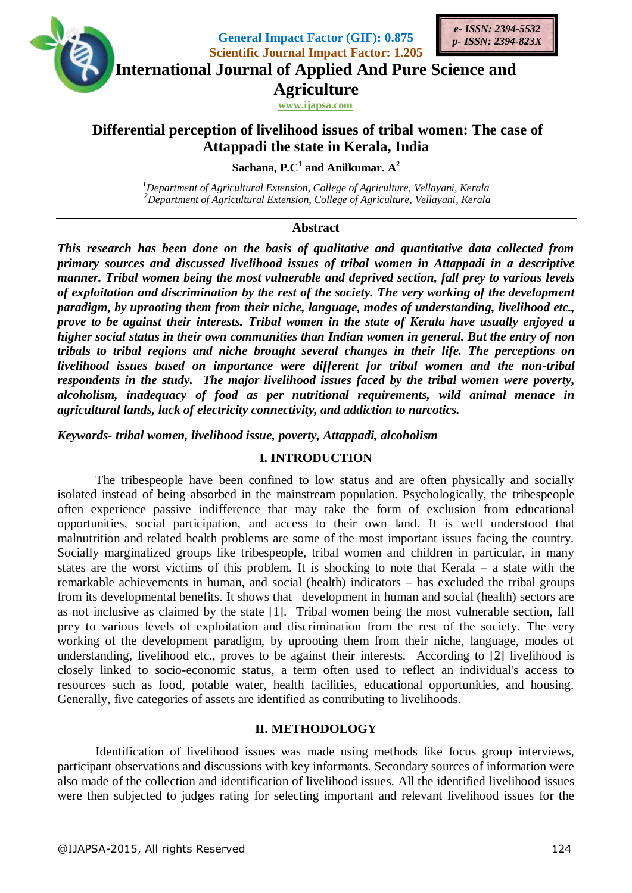

**General Impact Factor (GIF): 0.875 Scientific Journal Impact Factor: 1.205**

**International Journal of Applied And Pure Science and**

**Agriculture**

**www.ijapsa.com** 

# **Differential perception of livelihood issues of tribal women: The case of Attappadi the state in Kerala, India**

**Sachana, P.C<sup>1</sup> and Anilkumar. A 2**

*<sup>1</sup>Department of Agricultural Extension, College of Agriculture, Vellayani, Kerala <sup>2</sup>Department of Agricultural Extension, College of Agriculture, Vellayani, Kerala*

# **Abstract**

*This research has been done on the basis of qualitative and quantitative data collected from primary sources and discussed livelihood issues of tribal women in Attappadi in a descriptive manner. Tribal women being the most vulnerable and deprived section, fall prey to various levels of exploitation and discrimination by the rest of the society. The very working of the development paradigm, by uprooting them from their niche, language, modes of understanding, livelihood etc., prove to be against their interests. Tribal women in the state of Kerala have usually enjoyed a higher social status in their own communities than Indian women in general. But the entry of non tribals to tribal regions and niche brought several changes in their life. The perceptions on livelihood issues based on importance were different for tribal women and the non-tribal respondents in the study. The major livelihood issues faced by the tribal women were poverty, alcoholism, inadequacy of food as per nutritional requirements, wild animal menace in agricultural lands, lack of electricity connectivity, and addiction to narcotics.*

*Keywords- tribal women, livelihood issue, poverty, Attappadi, alcoholism*

# **I. INTRODUCTION**

The tribespeople have been confined to low status and are often physically and socially isolated instead of being absorbed in the mainstream population. Psychologically, the tribespeople often experience passive indifference that may take the form of exclusion from educational opportunities, social participation, and access to their own land. It is well understood that malnutrition and related health problems are some of the most important issues facing the country. Socially marginalized groups like tribespeople, tribal women and children in particular, in many states are the worst victims of this problem. It is shocking to note that Kerala – a state with the remarkable achievements in human, and social (health) indicators – has excluded the tribal groups from its developmental benefits. It shows that development in human and social (health) sectors are as not inclusive as claimed by the state [1]. Tribal women being the most vulnerable section, fall prey to various levels of exploitation and discrimination from the rest of the society. The very working of the development paradigm, by uprooting them from their niche, language, modes of understanding, livelihood etc., proves to be against their interests. According to [2] livelihood is closely linked to socio-economic status, a term often used to reflect an individual's access to resources such as food, potable water, health facilities, educational opportunities, and housing. Generally, five categories of assets are identified as contributing to livelihoods.

# **II. METHODOLOGY**

Identification of livelihood issues was made using methods like focus group interviews, participant observations and discussions with key informants. Secondary sources of information were also made of the collection and identification of livelihood issues. All the identified livelihood issues were then subjected to judges rating for selecting important and relevant livelihood issues for the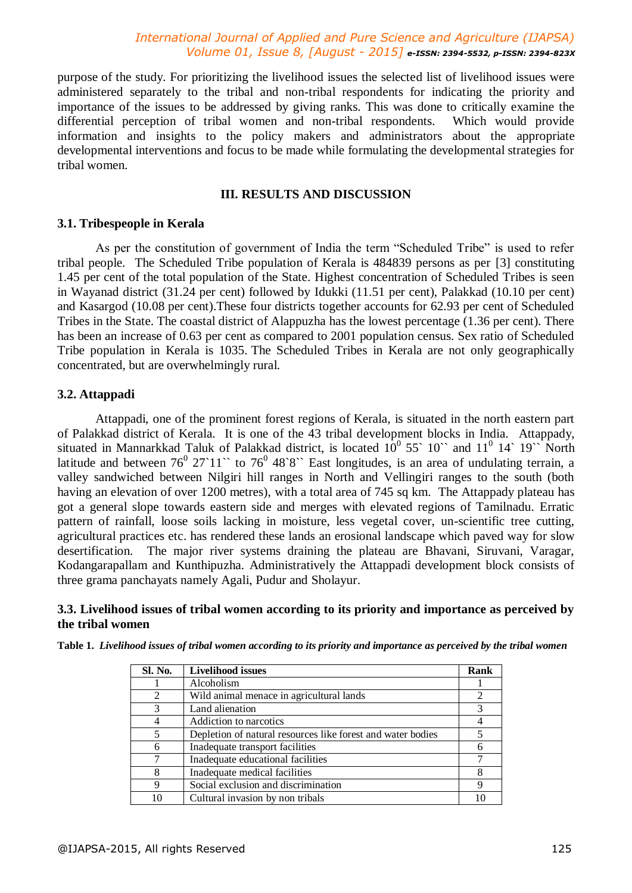purpose of the study. For prioritizing the livelihood issues the selected list of livelihood issues were administered separately to the tribal and non-tribal respondents for indicating the priority and importance of the issues to be addressed by giving ranks. This was done to critically examine the differential perception of tribal women and non-tribal respondents. Which would provide information and insights to the policy makers and administrators about the appropriate developmental interventions and focus to be made while formulating the developmental strategies for tribal women.

## **III. RESULTS AND DISCUSSION**

#### **3.1. Tribespeople in Kerala**

As per the constitution of government of India the term "Scheduled Tribe" is used to refer tribal people. The Scheduled Tribe population of Kerala is 484839 persons as per [3] constituting 1.45 per cent of the total population of the State. Highest concentration of Scheduled Tribes is seen in Wayanad district (31.24 per cent) followed by Idukki (11.51 per cent), Palakkad (10.10 per cent) and Kasargod (10.08 per cent).These four districts together accounts for 62.93 per cent of Scheduled Tribes in the State. The coastal district of Alappuzha has the lowest percentage (1.36 per cent). There has been an increase of 0.63 per cent as compared to 2001 population census. Sex ratio of Scheduled Tribe population in Kerala is 1035. The Scheduled Tribes in Kerala are not only geographically concentrated, but are overwhelmingly rural.

## **3.2. Attappadi**

Attappadi, one of the prominent forest regions of Kerala, is situated in the north eastern part of Palakkad district of Kerala. It is one of the 43 tribal development blocks in India. Attappady, situated in Mannarkkad Taluk of Palakkad district, is located  $10^0$  55` 10`` and  $11^0$  14` 19`` North latitude and between  $76^{\circ}$  27`11`` to  $76^{\circ}$  48`8`` East longitudes, is an area of undulating terrain, a valley sandwiched between Nilgiri hill ranges in North and Vellingiri ranges to the south (both having an elevation of over 1200 metres), with a total area of 745 sq km. The Attappady plateau has got a general slope towards eastern side and merges with elevated regions of Tamilnadu. Erratic pattern of rainfall, loose soils lacking in moisture, less vegetal cover, un-scientific tree cutting, agricultural practices etc. has rendered these lands an erosional landscape which paved way for slow desertification. The major river systems draining the plateau are Bhavani, Siruvani, Varagar, Kodangarapallam and Kunthipuzha. Administratively the Attappadi development block consists of three grama panchayats namely Agali, Pudur and Sholayur.

#### **3.3. Livelihood issues of tribal women according to its priority and importance as perceived by the tribal women**

| Table 1. Livelihood issues of tribal women according to its priority and importance as perceived by the tribal women |  |  |  |
|----------------------------------------------------------------------------------------------------------------------|--|--|--|
|                                                                                                                      |  |  |  |

| Sl. No.        | <b>Livelihood issues</b>                                    | Rank                        |
|----------------|-------------------------------------------------------------|-----------------------------|
|                | Alcoholism                                                  |                             |
| $\mathfrak{D}$ | Wild animal menace in agricultural lands                    | $\mathcal{D}_{\mathcal{A}}$ |
| 3              | Land alienation                                             |                             |
|                | Addiction to narcotics                                      |                             |
| 5              | Depletion of natural resources like forest and water bodies |                             |
| 6              | Inadequate transport facilities                             |                             |
|                | Inadequate educational facilities                           |                             |
| 8              | Inadequate medical facilities                               | 8                           |
| Q              | Social exclusion and discrimination                         | Q                           |
|                | Cultural invasion by non tribals                            |                             |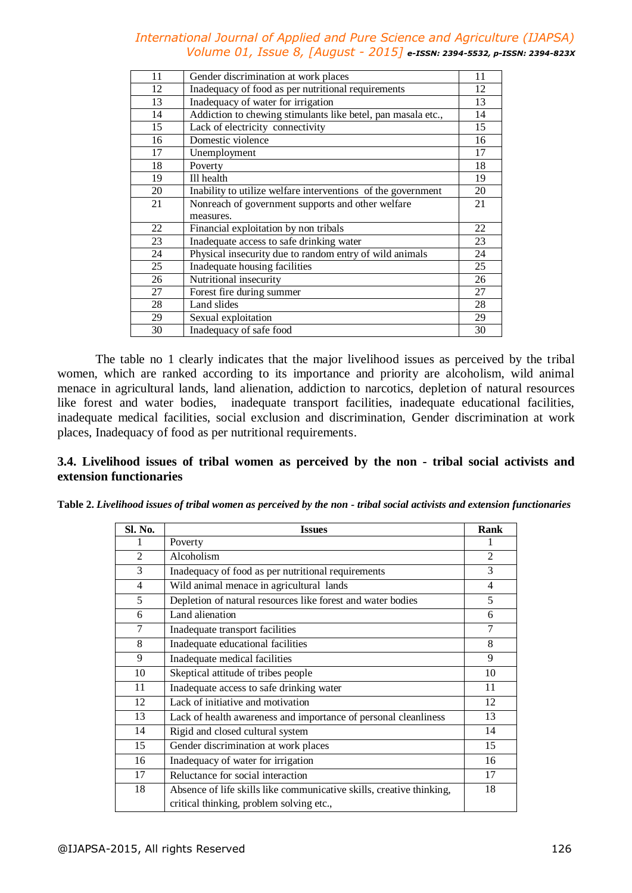| 11 | Gender discrimination at work places                         | 11 |
|----|--------------------------------------------------------------|----|
| 12 | Inadequacy of food as per nutritional requirements           | 12 |
| 13 | Inadequacy of water for irrigation                           | 13 |
| 14 | Addiction to chewing stimulants like betel, pan masala etc., | 14 |
| 15 | Lack of electricity connectivity                             | 15 |
| 16 | Domestic violence                                            | 16 |
| 17 | Unemployment                                                 | 17 |
| 18 | Poverty                                                      | 18 |
| 19 | Ill health                                                   | 19 |
| 20 | Inability to utilize welfare interventions of the government | 20 |
| 21 | Nonreach of government supports and other welfare            | 21 |
|    | measures.                                                    |    |
| 22 | Financial exploitation by non tribals                        | 22 |
| 23 | Inadequate access to safe drinking water                     | 23 |
| 24 | Physical insecurity due to random entry of wild animals      | 24 |
| 25 | Inadequate housing facilities                                | 25 |
| 26 | Nutritional insecurity                                       | 26 |
| 27 | Forest fire during summer                                    | 27 |
| 28 | Land slides                                                  | 28 |
| 29 | Sexual exploitation                                          | 29 |
| 30 | Inadequacy of safe food                                      | 30 |
|    |                                                              |    |

The table no 1 clearly indicates that the major livelihood issues as perceived by the tribal women, which are ranked according to its importance and priority are alcoholism, wild animal menace in agricultural lands, land alienation, addiction to narcotics, depletion of natural resources like forest and water bodies, inadequate transport facilities, inadequate educational facilities, inadequate medical facilities, social exclusion and discrimination, Gender discrimination at work places, Inadequacy of food as per nutritional requirements.

# **3.4. Livelihood issues of tribal women as perceived by the non - tribal social activists and extension functionaries**

| <b>SI. No.</b> | <b>Issues</b>                                                        | Rank           |
|----------------|----------------------------------------------------------------------|----------------|
| 1              | Poverty                                                              |                |
| $\mathfrak{D}$ | Alcoholism                                                           | $\mathfrak{D}$ |
| 3              | Inadequacy of food as per nutritional requirements                   | 3              |
| 4              | Wild animal menace in agricultural lands                             | $\overline{4}$ |
| 5              | Depletion of natural resources like forest and water bodies          | 5              |
| 6              | Land alienation                                                      | 6              |
| 7              | Inadequate transport facilities                                      | 7              |
| 8              | Inadequate educational facilities                                    | 8              |
| 9              | Inadequate medical facilities                                        | 9              |
| 10             | Skeptical attitude of tribes people                                  | 10             |
| 11             | Inadequate access to safe drinking water                             | 11             |
| 12             | Lack of initiative and motivation                                    | 12             |
| 13             | Lack of health awareness and importance of personal cleanliness      | 13             |
| 14             | Rigid and closed cultural system                                     | 14             |
| 15             | Gender discrimination at work places                                 | 15             |
| 16             | Inadequacy of water for irrigation                                   | 16             |
| 17             | Reluctance for social interaction                                    | 17             |
| 18             | Absence of life skills like communicative skills, creative thinking, | 18             |
|                | critical thinking, problem solving etc.,                             |                |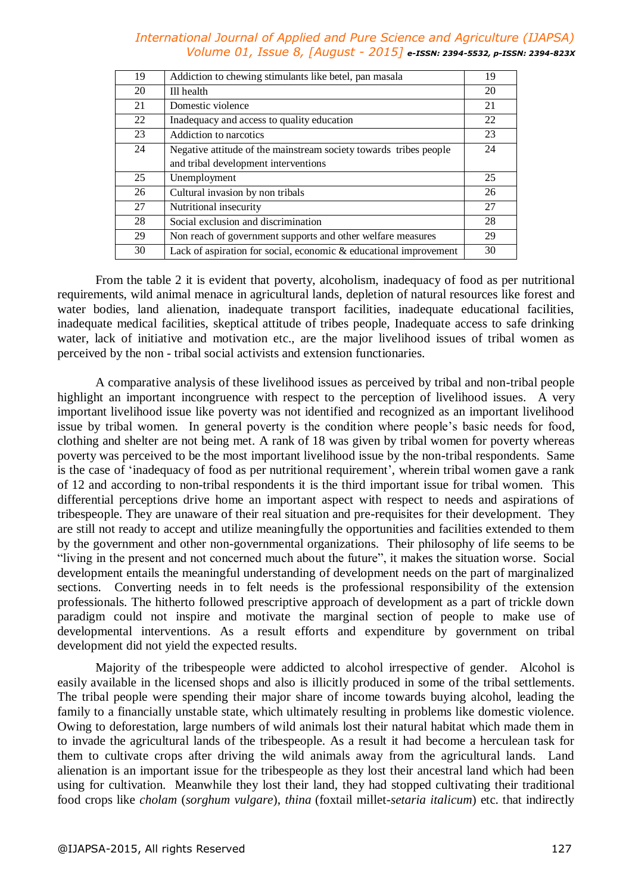| 19 | Addiction to chewing stimulants like betel, pan masala            | 19 |
|----|-------------------------------------------------------------------|----|
| 20 | Ill health                                                        | 20 |
| 21 | Domestic violence                                                 | 21 |
| 22 | Inadequacy and access to quality education                        | 22 |
| 23 | Addiction to narcotics                                            | 23 |
| 24 | Negative attitude of the mainstream society towards tribes people | 24 |
|    | and tribal development interventions                              |    |
| 25 | Unemployment                                                      | 25 |
| 26 | Cultural invasion by non tribals                                  | 26 |
| 27 | Nutritional insecurity                                            | 27 |
| 28 | Social exclusion and discrimination                               | 28 |
| 29 | Non reach of government supports and other welfare measures       | 29 |
| 30 | Lack of aspiration for social, economic & educational improvement | 30 |

From the table 2 it is evident that poverty, alcoholism, inadequacy of food as per nutritional requirements, wild animal menace in agricultural lands, depletion of natural resources like forest and water bodies, land alienation, inadequate transport facilities, inadequate educational facilities, inadequate medical facilities, skeptical attitude of tribes people, Inadequate access to safe drinking water, lack of initiative and motivation etc., are the major livelihood issues of tribal women as perceived by the non - tribal social activists and extension functionaries.

A comparative analysis of these livelihood issues as perceived by tribal and non-tribal people highlight an important incongruence with respect to the perception of livelihood issues. A very important livelihood issue like poverty was not identified and recognized as an important livelihood issue by tribal women. In general poverty is the condition where people's basic needs for food, clothing and shelter are not being met. A rank of 18 was given by tribal women for poverty whereas poverty was perceived to be the most important livelihood issue by the non-tribal respondents. Same is the case of 'inadequacy of food as per nutritional requirement', wherein tribal women gave a rank of 12 and according to non-tribal respondents it is the third important issue for tribal women. This differential perceptions drive home an important aspect with respect to needs and aspirations of tribespeople. They are unaware of their real situation and pre-requisites for their development. They are still not ready to accept and utilize meaningfully the opportunities and facilities extended to them by the government and other non-governmental organizations. Their philosophy of life seems to be "living in the present and not concerned much about the future", it makes the situation worse. Social development entails the meaningful understanding of development needs on the part of marginalized sections. Converting needs in to felt needs is the professional responsibility of the extension professionals. The hitherto followed prescriptive approach of development as a part of trickle down paradigm could not inspire and motivate the marginal section of people to make use of developmental interventions. As a result efforts and expenditure by government on tribal development did not yield the expected results.

Majority of the tribespeople were addicted to alcohol irrespective of gender. Alcohol is easily available in the licensed shops and also is illicitly produced in some of the tribal settlements. The tribal people were spending their major share of income towards buying alcohol, leading the family to a financially unstable state, which ultimately resulting in problems like domestic violence. Owing to deforestation, large numbers of wild animals lost their natural habitat which made them in to invade the agricultural lands of the tribespeople. As a result it had become a herculean task for them to cultivate crops after driving the wild animals away from the agricultural lands. Land alienation is an important issue for the tribespeople as they lost their ancestral land which had been using for cultivation. Meanwhile they lost their land, they had stopped cultivating their traditional food crops like *cholam* (*sorghum vulgare*), *thina* (foxtail millet-*setaria italicum*) etc. that indirectly